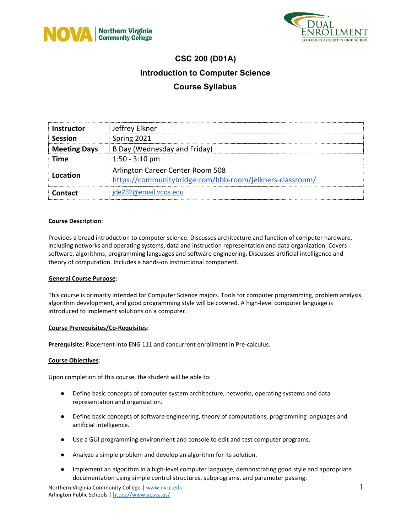



## **CSC 200 (D01A) Introduction to Computer Science Course Syllabus**

| <b>Instructor</b>   | Jeffrey Elkner                                                                               |  |
|---------------------|----------------------------------------------------------------------------------------------|--|
| <b>Session</b>      | Spring 2021                                                                                  |  |
| <b>Meeting Days</b> | B Day (Wednesday and Friday)                                                                 |  |
| Time                | $1:50 - 3:10$ pm                                                                             |  |
| Location            | Arlington Career Center Room 508<br>https://communitybridge.com/bbb-room/jelkners-classroom/ |  |
| Contact             | jde232@email.vccs.edu                                                                        |  |

### **Course Description**:

Provides a broad introduction to computer science. Discusses architecture and function of computer hardware, including networks and operating systems, data and instruction representation and data organization. Covers software, algorithms, programming languages and software engineering. Discusses artificial intelligence and theory of computation. Includes a hands-on instructional component.

### **General Course Purpose**:

This course is primarily intended for Computer Science majors. Tools for computer programming, problem analysis, algorithm development, and good programming style will be covered. A high-level computer language is introduced to implement solutions on a computer.

### **Course Prerequisites/Co-Requisites**:

**Prerequisite:** Placement into ENG 111 and concurrent enrollment in Pre-calculus.

### **Course Objectives**:

Upon completion of this course, the student will be able to:

- Define basic concepts of computer system architecture, networks, operating systems and data representation and organization.
- Define basic concepts of software engineering, theory of computations, programming languages and artificial intelligence.
- Use a GUI programming environment and console to edit and test computer programs.
- Analyze a simple problem and develop an algorithm for its solution.
- Implement an algorithm in a high-level computer language, demonstrating good style and appropriate documentation using simple control structures, subprograms, and parameter passing.

Northern Virginia Community College | [www.nvcc.edu](http://www.nvcc.edu/) 1 Arlington Public Schools | <https://www.apsva.us/>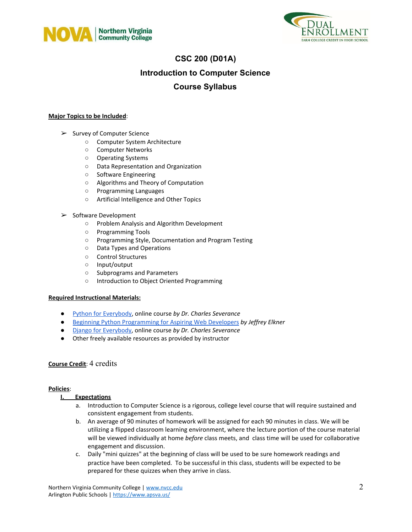



## **CSC 200 (D01A) Introduction to Computer Science**

## **Course Syllabus**

### **Major Topics to be Included**:

- ➢ Survey of Computer Science
	- Computer System Architecture
	- Computer Networks
	- Operating Systems
	- Data Representation and Organization
	- Software Engineering
	- Algorithms and Theory of Computation
	- Programming Languages
	- Artificial Intelligence and Other Topics
- ➢ Software Development
	- Problem Analysis and Algorithm Development
	- Programming Tools
	- Programming Style, Documentation and Program Testing
	- Data Types and Operations
	- Control Structures
	- Input/output
	- Subprograms and Parameters
	- Introduction to Object Oriented Programming

### **Required Instructional Materials:**

- Python for [Everybody,](https://www.py4e.com/) online course *by Dr. Charles Severance*
- Beginning Python [Programming](http://www.openbookproject.net/books/bpp4awd/) for Aspiring Web Developers *by Jeffrey Elkner*
- Django for [Everybody,](https://www.dj4e.com/) online course *by Dr. Charles Severance*
- Other freely available resources as provided by instructor

### **Course Credit**: 4 credits

### **Policies**:

### **I. Expectations**

- a. Introduction to Computer Science is a rigorous, college level course that will require sustained and consistent engagement from students.
- b. An average of 90 minutes of homework will be assigned for each 90 minutes in class. We will be utilizing a flipped classroom learning environment, where the lecture portion of the course material will be viewed individually at home *before* class meets, and class time will be used for collaborative engagement and discussion.
- c. Daily "mini quizzes" at the beginning of class will be used to be sure homework readings and practice have been completed. To be successful in this class, students will be expected to be prepared for these quizzes when they arrive in class.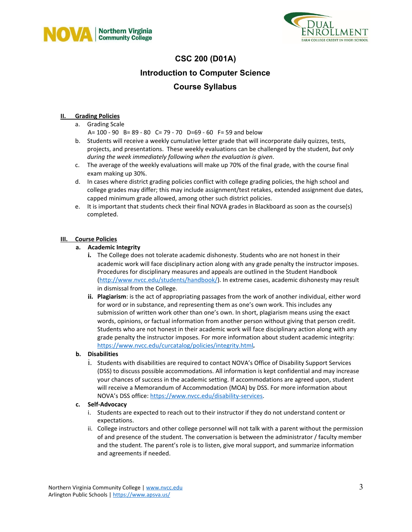



# **CSC 200 (D01A) Introduction to Computer Science Course Syllabus**

### **II. Grading Policies**

a. Grading Scale

A= 100 - 90 B= 89 - 80 C= 79 - 70 D=69 - 60 F= 59 and below

- b. Students will receive a weekly cumulative letter grade that will incorporate daily quizzes, tests, projects, and presentations. These weekly evaluations can be challenged by the student, *but only during the week immediately following when the evaluation is given*.
- c. The average of the weekly evaluations will make up 70% of the final grade, with the course final exam making up 30%.
- d. In cases where district grading policies conflict with college grading policies, the high school and college grades may differ; this may include assignment/test retakes, extended assignment due dates, capped minimum grade allowed, among other such district policies.
- e. It is important that students check their final NOVA grades in Blackboard as soon as the course(s) completed.

### **III. Course Policies**

### **a. Academic Integrity**

- **i.** The College does not tolerate academic dishonesty. Students who are not honest in their academic work will face disciplinary action along with any grade penalty the instructor imposes. Procedures for disciplinary measures and appeals are outlined in the Student Handbook (<http://www.nvcc.edu/students/handbook/>). In extreme cases, academic dishonesty may result in dismissal from the College.
- **ii. Plagiarism**: is the act of appropriating passages from the work of another individual, either word for word or in substance, and representing them as one's own work. This includes any submission of written work other than one's own. In short, plagiarism means using the exact words, opinions, or factual information from another person without giving that person credit. Students who are not honest in their academic work will face disciplinary action along with any grade penalty the instructor imposes. For more information about student academic integrity: <https://www.nvcc.edu/curcatalog/policies/integrity.html>*.*

### **b. Disabilities**

i. Students with disabilities are required to contact NOVA's Office of Disability Support Services (DSS) to discuss possible accommodations. All information is kept confidential and may increase your chances of success in the academic setting. If accommodations are agreed upon, student will receive a Memorandum of Accommodation (MOA) by DSS. For more information about NOVA's DSS office: [https://www.nvcc.edu/disability-services.](https://www.nvcc.edu/disability-services)

### **c. Self-Advocacy**

- i. Students are expected to reach out to their instructor if they do not understand content or expectations.
- ii. College instructors and other college personnel will not talk with a parent without the permission of and presence of the student. The conversation is between the administrator / faculty member and the student. The parent's role is to listen, give moral support, and summarize information and agreements if needed.